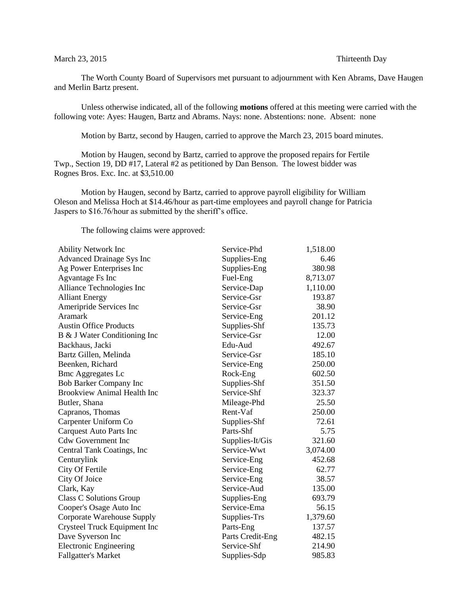## March 23, 2015 Thirteenth Day

The Worth County Board of Supervisors met pursuant to adjournment with Ken Abrams, Dave Haugen and Merlin Bartz present.

Unless otherwise indicated, all of the following **motions** offered at this meeting were carried with the following vote: Ayes: Haugen, Bartz and Abrams. Nays: none. Abstentions: none. Absent: none

Motion by Bartz, second by Haugen, carried to approve the March 23, 2015 board minutes.

Motion by Haugen, second by Bartz, carried to approve the proposed repairs for Fertile Twp., Section 19, DD #17, Lateral #2 as petitioned by Dan Benson. The lowest bidder was Rognes Bros. Exc. Inc. at \$3,510.00

Motion by Haugen, second by Bartz, carried to approve payroll eligibility for William Oleson and Melissa Hoch at \$14.46/hour as part-time employees and payroll change for Patricia Jaspers to \$16.76/hour as submitted by the sheriff's office.

The following claims were approved:

| <b>Ability Network Inc</b>         | Service-Phd      | 1,518.00 |
|------------------------------------|------------------|----------|
| <b>Advanced Drainage Sys Inc</b>   | Supplies-Eng     | 6.46     |
| Ag Power Enterprises Inc           | Supplies-Eng     | 380.98   |
| Agvantage Fs Inc                   | Fuel-Eng         | 8,713.07 |
| Alliance Technologies Inc          | Service-Dap      | 1,110.00 |
| <b>Alliant Energy</b>              | Service-Gsr      | 193.87   |
| Ameripride Services Inc            | Service-Gsr      | 38.90    |
| <b>Aramark</b>                     | Service-Eng      | 201.12   |
| <b>Austin Office Products</b>      | Supplies-Shf     | 135.73   |
| B & J Water Conditioning Inc       | Service-Gsr      | 12.00    |
| Backhaus, Jacki                    | Edu-Aud          | 492.67   |
| Bartz Gillen, Melinda              | Service-Gsr      | 185.10   |
| Beenken, Richard                   | Service-Eng      | 250.00   |
| <b>Bmc Aggregates Lc</b>           | Rock-Eng         | 602.50   |
| Bob Barker Company Inc             | Supplies-Shf     | 351.50   |
| <b>Brookview Animal Health Inc</b> | Service-Shf      | 323.37   |
| Butler, Shana                      | Mileage-Phd      | 25.50    |
| Capranos, Thomas                   | Rent-Vaf         | 250.00   |
| Carpenter Uniform Co               | Supplies-Shf     | 72.61    |
| Carquest Auto Parts Inc            | Parts-Shf        | 5.75     |
| <b>Cdw Government Inc</b>          | Supplies-It/Gis  | 321.60   |
| Central Tank Coatings, Inc         | Service-Wwt      | 3,074.00 |
| Centurylink                        | Service-Eng      | 452.68   |
| City Of Fertile                    | Service-Eng      | 62.77    |
| City Of Joice                      | Service-Eng      | 38.57    |
| Clark, Kay                         | Service-Aud      | 135.00   |
| Class C Solutions Group            | Supplies-Eng     | 693.79   |
| Cooper's Osage Auto Inc            | Service-Ema      | 56.15    |
| Corporate Warehouse Supply         | Supplies-Trs     | 1,379.60 |
| Crysteel Truck Equipment Inc       | Parts-Eng        | 137.57   |
| Dave Syverson Inc                  | Parts Credit-Eng | 482.15   |
| <b>Electronic Engineering</b>      | Service-Shf      | 214.90   |
| <b>Fallgatter's Market</b>         | Supplies-Sdp     | 985.83   |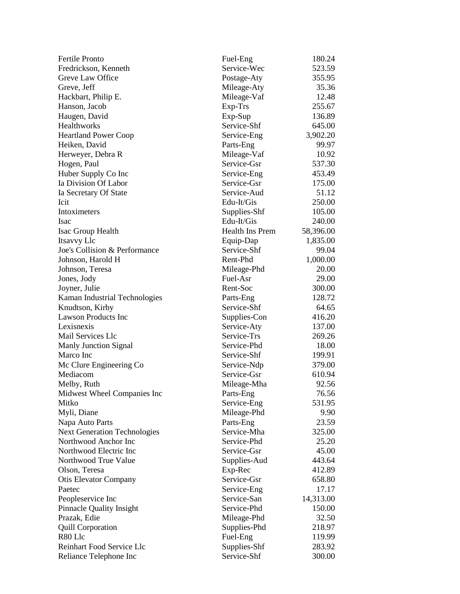| <b>Fertile Pronto</b>                            | Fuel-Eng                   | 180.24    |
|--------------------------------------------------|----------------------------|-----------|
| Fredrickson, Kenneth                             | Service-Wec                | 523.59    |
| Greve Law Office                                 | Postage-Aty                | 355.95    |
| Greve, Jeff                                      | Mileage-Aty                | 35.36     |
| Hackbart, Philip E.                              | Mileage-Vaf                | 12.48     |
| Hanson, Jacob                                    | Exp-Trs                    | 255.67    |
| Haugen, David                                    | Exp-Sup                    | 136.89    |
| Healthworks                                      | Service-Shf                | 645.00    |
| <b>Heartland Power Coop</b>                      | Service-Eng                | 3,902.20  |
| Heiken, David                                    | Parts-Eng                  | 99.97     |
| Herweyer, Debra R                                | Mileage-Vaf                | 10.92     |
| Hogen, Paul                                      | Service-Gsr                | 537.30    |
| Huber Supply Co Inc                              | Service-Eng                | 453.49    |
| Ia Division Of Labor                             | Service-Gsr                | 175.00    |
| Ia Secretary Of State                            | Service-Aud                | 51.12     |
| Icit                                             | Edu-It/Gis                 | 250.00    |
| Intoximeters                                     | Supplies-Shf               | 105.00    |
| Isac                                             | Edu-It/Gis                 | 240.00    |
| Isac Group Health                                | <b>Health Ins Prem</b>     | 58,396.00 |
| Itsavvy Llc                                      | Equip-Dap                  | 1,835.00  |
| Joe's Collision & Performance                    | Service-Shf                | 99.04     |
| Johnson, Harold H                                | Rent-Phd                   | 1,000.00  |
| Johnson, Teresa                                  | Mileage-Phd                | 20.00     |
| Jones, Jody                                      | Fuel-Asr                   | 29.00     |
| Joyner, Julie                                    | Rent-Soc                   | 300.00    |
|                                                  | Parts-Eng                  | 128.72    |
| Kaman Industrial Technologies<br>Knudtson, Kirby | Service-Shf                | 64.65     |
| <b>Lawson Products Inc</b>                       | Supplies-Con               | 416.20    |
| Lexisnexis                                       | Service-Aty                | 137.00    |
| Mail Services Llc                                | Service-Trs                | 269.26    |
| <b>Manly Junction Signal</b>                     | Service-Phd                | 18.00     |
| Marco Inc                                        | Service-Shf                | 199.91    |
|                                                  |                            | 379.00    |
| Mc Clure Engineering Co<br>Mediacom              | Service-Ndp<br>Service-Gsr | 610.94    |
|                                                  |                            | 92.56     |
| Melby, Ruth                                      | Mileage-Mha                | 76.56     |
| Midwest Wheel Companies Inc<br>Mitko             | Parts-Eng                  | 531.95    |
|                                                  | Service-Eng                |           |
| Myli, Diane                                      | Mileage-Phd                | 9.90      |
| Napa Auto Parts                                  | Parts-Eng                  | 23.59     |
| <b>Next Generation Technologies</b>              | Service-Mha                | 325.00    |
| Northwood Anchor Inc<br>Northwood Electric Inc   | Service-Phd                | 25.20     |
|                                                  | Service-Gsr                | 45.00     |
| Northwood True Value                             | Supplies-Aud               | 443.64    |
| Olson, Teresa                                    | Exp-Rec                    | 412.89    |
| <b>Otis Elevator Company</b>                     | Service-Gsr                | 658.80    |
| Paetec                                           | Service-Eng                | 17.17     |
| Peopleservice Inc                                | Service-San                | 14,313.00 |
| <b>Pinnacle Quality Insight</b>                  | Service-Phd                | 150.00    |
| Prazak, Edie                                     | Mileage-Phd                | 32.50     |
| <b>Quill Corporation</b>                         | Supplies-Phd               | 218.97    |
| R80 Llc                                          | Fuel-Eng                   | 119.99    |
| Reinhart Food Service Llc                        | Supplies-Shf               | 283.92    |
| Reliance Telephone Inc                           | Service-Shf                | 300.00    |